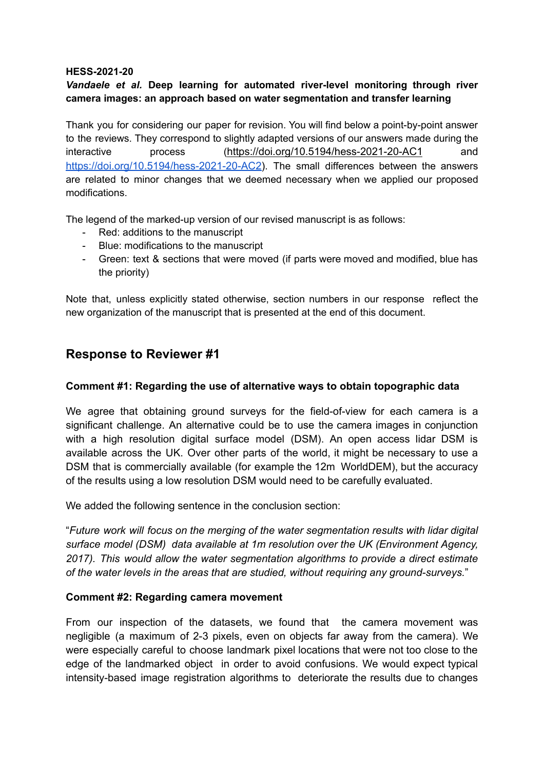#### **HESS-2021-20**

## *Vandaele et al.* **Deep learning for automated river-level monitoring through river camera images: an approach based on water segmentation and transfer learning**

Thank you for considering our paper for revision. You will find below a point-by-point answer to the reviews. They correspond to slightly adapted versions of our answers made during the interactive process (<https://doi.org/10.5194/hess-2021-20-AC1> and <https://doi.org/10.5194/hess-2021-20-AC2>). The small differences between the answers are related to minor changes that we deemed necessary when we applied our proposed modifications.

The legend of the marked-up version of our revised manuscript is as follows:

- Red: additions to the manuscript
- Blue: modifications to the manuscript
- Green: text & sections that were moved (if parts were moved and modified, blue has the priority)

Note that, unless explicitly stated otherwise, section numbers in our response reflect the new organization of the manuscript that is presented at the end of this document.

# **Response to Reviewer #1**

#### **Comment #1: Regarding the use of alternative ways to obtain topographic data**

We agree that obtaining ground surveys for the field-of-view for each camera is a significant challenge. An alternative could be to use the camera images in conjunction with a high resolution digital surface model (DSM). An open access lidar DSM is available across the UK. Over other parts of the world, it might be necessary to use a DSM that is commercially available (for example the 12m WorldDEM), but the accuracy of the results using a low resolution DSM would need to be carefully evaluated.

We added the following sentence in the conclusion section:

"*Future work will focus on the merging of the water segmentation results with lidar digital surface model (DSM) data available at 1m resolution over the UK (Environment Agency, 2017). This would allow the water segmentation algorithms to provide a direct estimate of the water levels in the areas that are studied, without requiring any ground-surveys.*"

#### **Comment #2: Regarding camera movement**

From our inspection of the datasets, we found that the camera movement was negligible (a maximum of 2-3 pixels, even on objects far away from the camera). We were especially careful to choose landmark pixel locations that were not too close to the edge of the landmarked object in order to avoid confusions. We would expect typical intensity-based image registration algorithms to deteriorate the results due to changes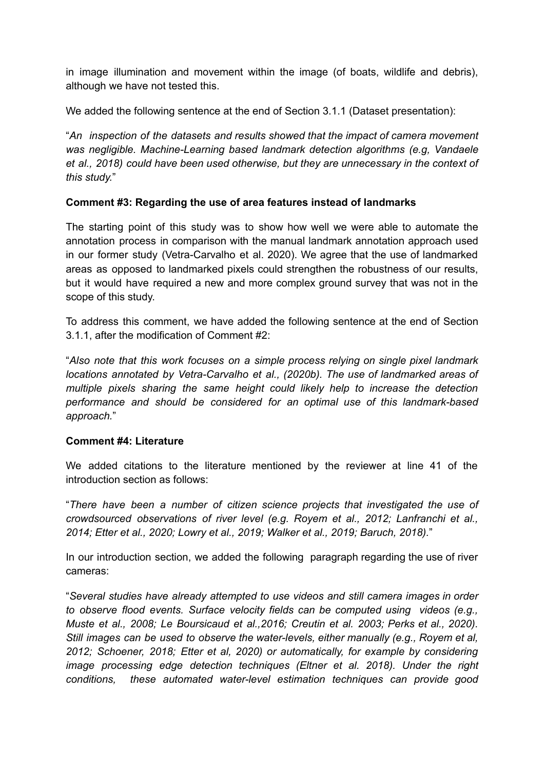in image illumination and movement within the image (of boats, wildlife and debris), although we have not tested this.

We added the following sentence at the end of Section 3.1.1 (Dataset presentation):

"*An inspection of the datasets and results showed that the impact of camera movement was negligible. Machine-Learning based landmark detection algorithms (e.g, Vandaele et al., 2018) could have been used otherwise, but they are unnecessary in the context of this study.*"

# **Comment #3: Regarding the use of area features instead of landmarks**

The starting point of this study was to show how well we were able to automate the annotation process in comparison with the manual landmark annotation approach used in our former study (Vetra-Carvalho et al. 2020). We agree that the use of landmarked areas as opposed to landmarked pixels could strengthen the robustness of our results, but it would have required a new and more complex ground survey that was not in the scope of this study.

To address this comment, we have added the following sentence at the end of Section 3.1.1, after the modification of Comment #2:

"*Also note that this work focuses on a simple process relying on single pixel landmark locations annotated by Vetra-Carvalho et al., (2020b). The use of landmarked areas of multiple pixels sharing the same height could likely help to increase the detection performance and should be considered for an optimal use of this landmark-based approach.*"

## **Comment #4: Literature**

We added citations to the literature mentioned by the reviewer at line 41 of the introduction section as follows:

"*There have been a number of citizen science projects that investigated the use of crowdsourced observations of river level (e.g. Royem et al., 2012; Lanfranchi et al., 2014; Etter et al., 2020; Lowry et al., 2019; Walker et al., 2019; Baruch, 2018).*"

In our introduction section, we added the following paragraph regarding the use of river cameras:

"*Several studies have already attempted to use videos and still camera images in order to observe flood events. Surface velocity fields can be computed using videos (e.g., Muste et al., 2008; Le Boursicaud et al.,2016; Creutin et al. 2003; Perks et al., 2020). Still images can be used to observe the water-levels, either manually (e.g., Royem et al, 2012; Schoener, 2018; Etter et al, 2020) or automatically, for example by considering image processing edge detection techniques (Eltner et al. 2018). Under the right conditions, these automated water-level estimation techniques can provide good*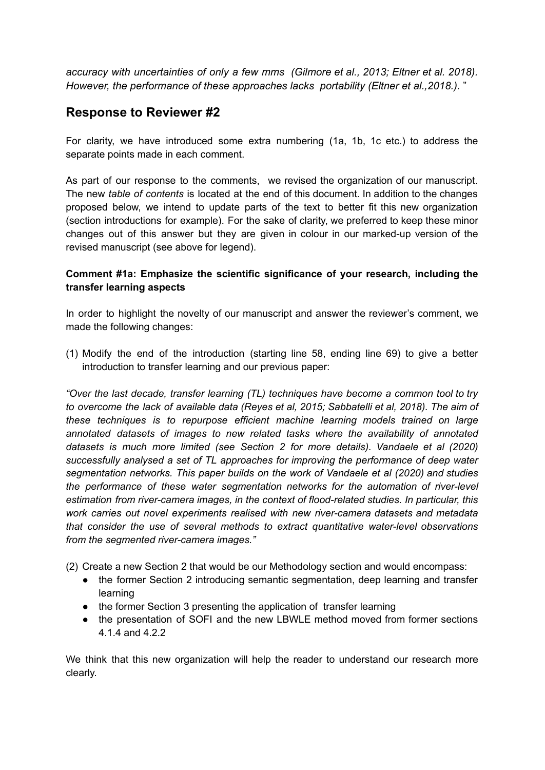*accuracy with uncertainties of only a few mms (Gilmore et al., 2013; Eltner et al. 2018). However, the performance of these approaches lacks portability (Eltner et al.,2018.).* "

# **Response to Reviewer #2**

For clarity, we have introduced some extra numbering (1a, 1b, 1c etc.) to address the separate points made in each comment.

As part of our response to the comments, we revised the organization of our manuscript. The new *table of contents* is located at the end of this document. In addition to the changes proposed below, we intend to update parts of the text to better fit this new organization (section introductions for example). For the sake of clarity, we preferred to keep these minor changes out of this answer but they are given in colour in our marked-up version of the revised manuscript (see above for legend).

# **Comment #1a: Emphasize the scientific significance of your research, including the transfer learning aspects**

In order to highlight the novelty of our manuscript and answer the reviewer's comment, we made the following changes:

(1) Modify the end of the introduction (starting line 58, ending line 69) to give a better introduction to transfer learning and our previous paper:

*"Over the last decade, transfer learning (TL) techniques have become a common tool to try to overcome the lack of available data (Reyes et al, 2015; Sabbatelli et al, 2018). The aim of these techniques is to repurpose efficient machine learning models trained on large annotated datasets of images to new related tasks where the availability of annotated datasets is much more limited (see Section 2 for more details). Vandaele et al (2020) successfully analysed a set of TL approaches for improving the performance of deep water segmentation networks. This paper builds on the work of Vandaele et al (2020) and studies the performance of these water segmentation networks for the automation of river-level estimation from river-camera images, in the context of flood-related studies. In particular, this work carries out novel experiments realised with new river-camera datasets and metadata that consider the use of several methods to extract quantitative water-level observations from the segmented river-camera images."*

(2) Create a new Section 2 that would be our Methodology section and would encompass:

- the former Section 2 introducing semantic segmentation, deep learning and transfer learning
- the former Section 3 presenting the application of transfer learning
- the presentation of SOFI and the new LBWLE method moved from former sections 4.1.4 and 4.2.2

We think that this new organization will help the reader to understand our research more clearly.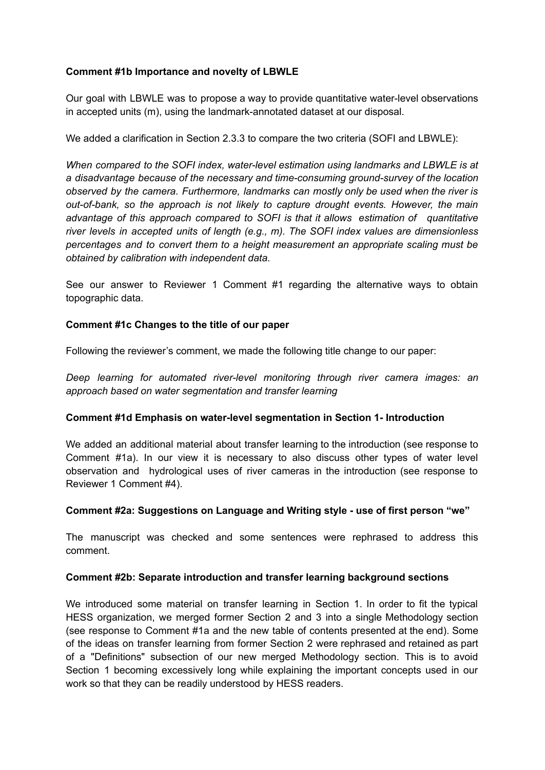### **Comment #1b Importance and novelty of LBWLE**

Our goal with LBWLE was to propose a way to provide quantitative water-level observations in accepted units (m), using the landmark-annotated dataset at our disposal.

We added a clarification in Section 2.3.3 to compare the two criteria (SOFI and LBWLE):

*When compared to the SOFI index, water-level estimation using landmarks and LBWLE is at a disadvantage because of the necessary and time-consuming ground-survey of the location observed by the camera. Furthermore, landmarks can mostly only be used when the river is out-of-bank, so the approach is not likely to capture drought events. However, the main advantage of this approach compared to SOFI is that it allows estimation of quantitative river levels in accepted units of length (e.g., m). The SOFI index values are dimensionless percentages and to convert them to a height measurement an appropriate scaling must be obtained by calibration with independent data.*

See our answer to Reviewer 1 Comment #1 regarding the alternative ways to obtain topographic data.

### **Comment #1c Changes to the title of our paper**

Following the reviewer's comment, we made the following title change to our paper:

*Deep learning for automated river-level monitoring through river camera images: an approach based on water segmentation and transfer learning*

#### **Comment #1d Emphasis on water-level segmentation in Section 1- Introduction**

We added an additional material about transfer learning to the introduction (see response to Comment #1a). In our view it is necessary to also discuss other types of water level observation and hydrological uses of river cameras in the introduction (see response to Reviewer 1 Comment #4).

#### **Comment #2a: Suggestions on Language and Writing style - use of first person "we"**

The manuscript was checked and some sentences were rephrased to address this comment.

#### **Comment #2b: Separate introduction and transfer learning background sections**

We introduced some material on transfer learning in Section 1. In order to fit the typical HESS organization, we merged former Section 2 and 3 into a single Methodology section (see response to Comment #1a and the new table of contents presented at the end). Some of the ideas on transfer learning from former Section 2 were rephrased and retained as part of a "Definitions" subsection of our new merged Methodology section. This is to avoid Section 1 becoming excessively long while explaining the important concepts used in our work so that they can be readily understood by HESS readers.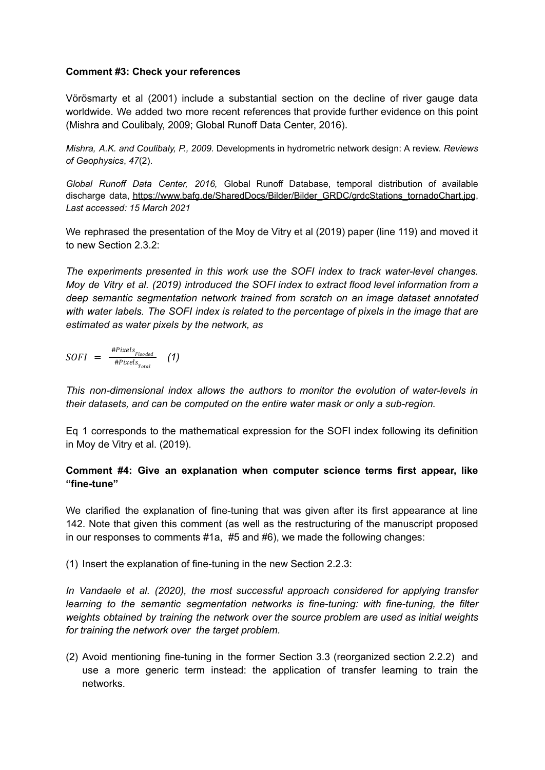#### **Comment #3: Check your references**

Vörösmarty et al (2001) include a substantial section on the decline of river gauge data worldwide. We added two more recent references that provide further evidence on this point (Mishra and Coulibaly, 2009; Global Runoff Data Center, 2016).

*Mishra, A.K. and Coulibaly, P., 2009.* Developments in hydrometric network design: A review. *Reviews of Geophysics*, *47*(2).

*Global Runoff Data Center, 2016,* Global Runoff Database, temporal distribution of available discharge data, [https://www.bafg.de/SharedDocs/Bilder/Bilder\\_GRDC/grdcStations\\_tornadoChart.jpg](https://www.bafg.de/SharedDocs/Bilder/Bilder_GRDC/grdcStations_tornadoChart.jpg), *Last accessed: 15 March 2021*

We rephrased the presentation of the Moy de Vitry et al (2019) paper (line 119) and moved it to new Section 2.3.2:

*The experiments presented in this work use the SOFI index to track water-level changes. Moy de Vitry et al. (2019) introduced the SOFI index to extract flood level information from a deep semantic segmentation network trained from scratch on an image dataset annotated with water labels. The SOFI index is related to the percentage of pixels in the image that are estimated as water pixels by the network, as*

$$
SOFI = \frac{^{\#Pixels}_{Flooded}}{^{\#Pixels}_{Total}} \quad (1)
$$

*This non-dimensional index allows the authors to monitor the evolution of water-levels in their datasets, and can be computed on the entire water mask or only a sub-region.*

Eq 1 corresponds to the mathematical expression for the SOFI index following its definition in Moy de Vitry et al. (2019).

## **Comment #4: Give an explanation when computer science terms first appear, like "fine-tune"**

We clarified the explanation of fine-tuning that was given after its first appearance at line 142. Note that given this comment (as well as the restructuring of the manuscript proposed in our responses to comments #1a, #5 and #6), we made the following changes:

(1) Insert the explanation of fine-tuning in the new Section 2.2.3:

*In Vandaele et al. (2020), the most successful approach considered for applying transfer learning to the semantic segmentation networks is fine-tuning: with fine-tuning, the filter weights obtained by training the network over the source problem are used as initial weights for training the network over the target problem.*

(2) Avoid mentioning fine-tuning in the former Section 3.3 (reorganized section 2.2.2) and use a more generic term instead: the application of transfer learning to train the networks.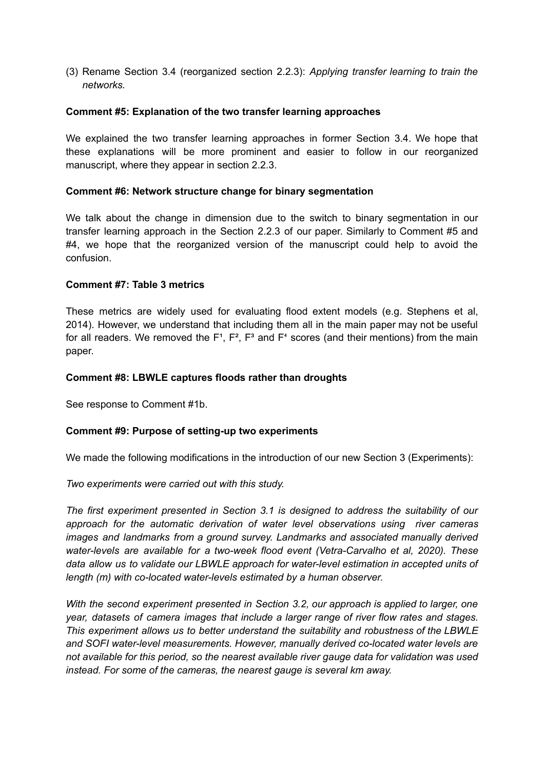(3) Rename Section 3.4 (reorganized section 2.2.3): *Applying transfer learning to train the networks.*

#### **Comment #5: Explanation of the two transfer learning approaches**

We explained the two transfer learning approaches in former Section 3.4. We hope that these explanations will be more prominent and easier to follow in our reorganized manuscript, where they appear in section 2.2.3.

#### **Comment #6: Network structure change for binary segmentation**

We talk about the change in dimension due to the switch to binary segmentation in our transfer learning approach in the Section 2.2.3 of our paper. Similarly to Comment #5 and #4, we hope that the reorganized version of the manuscript could help to avoid the confusion.

#### **Comment #7: Table 3 metrics**

These metrics are widely used for evaluating flood extent models (e.g. Stephens et al, 2014). However, we understand that including them all in the main paper may not be useful for all readers. We removed the  $F^1$ ,  $F^2$ ,  $F^3$  and  $F^4$  scores (and their mentions) from the main paper.

#### **Comment #8: LBWLE captures floods rather than droughts**

See response to Comment #1b.

#### **Comment #9: Purpose of setting-up two experiments**

We made the following modifications in the introduction of our new Section 3 (Experiments):

*Two experiments were carried out with this study.*

*The first experiment presented in Section 3.1 is designed to address the suitability of our approach for the automatic derivation of water level observations using river cameras images and landmarks from a ground survey. Landmarks and associated manually derived water-levels are available for a two-week flood event (Vetra-Carvalho et al, 2020). These data allow us to validate our LBWLE approach for water-level estimation in accepted units of length (m) with co-located water-levels estimated by a human observer.*

*With the second experiment presented in Section 3.2, our approach is applied to larger, one year, datasets of camera images that include a larger range of river flow rates and stages. This experiment allows us to better understand the suitability and robustness of the LBWLE and SOFI water-level measurements. However, manually derived co-located water levels are not available for this period, so the nearest available river gauge data for validation was used instead. For some of the cameras, the nearest gauge is several km away.*